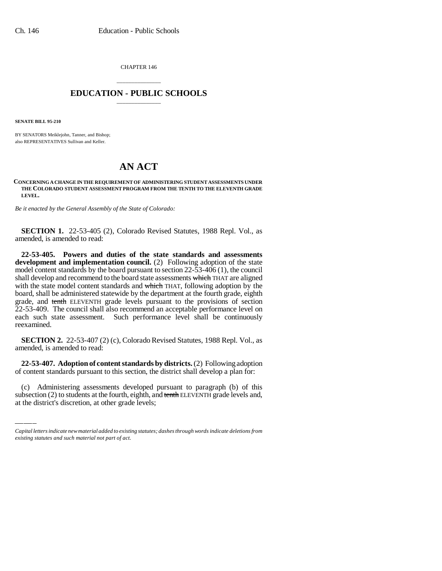CHAPTER 146

## \_\_\_\_\_\_\_\_\_\_\_\_\_\_\_ **EDUCATION - PUBLIC SCHOOLS** \_\_\_\_\_\_\_\_\_\_\_\_\_\_\_

**SENATE BILL 95-210**

BY SENATORS Meiklejohn, Tanner, and Bishop; also REPRESENTATIVES Sullivan and Keller.

## **AN ACT**

**CONCERNING A CHANGE IN THE REQUIREMENT OF ADMINISTERING STUDENT ASSESSMENTS UNDER THE COLORADO STUDENT ASSESSMENT PROGRAM FROM THE TENTH TO THE ELEVENTH GRADE LEVEL.**

*Be it enacted by the General Assembly of the State of Colorado:*

**SECTION 1.** 22-53-405 (2), Colorado Revised Statutes, 1988 Repl. Vol., as amended, is amended to read:

**22-53-405. Powers and duties of the state standards and assessments development and implementation council.** (2) Following adoption of the state model content standards by the board pursuant to section 22-53-406 (1), the council shall develop and recommend to the board state assessments which THAT are aligned with the state model content standards and which THAT, following adoption by the board, shall be administered statewide by the department at the fourth grade, eighth grade, and tenth ELEVENTH grade levels pursuant to the provisions of section 22-53-409. The council shall also recommend an acceptable performance level on each such state assessment. Such performance level shall be continuously reexamined.

**SECTION 2.** 22-53-407 (2) (c), Colorado Revised Statutes, 1988 Repl. Vol., as amended, is amended to read:

of content standards pursuant to this section, the district shall develop a plan for: **22-53-407. Adoption of content standards by districts.** (2) Following adoption

(c) Administering assessments developed pursuant to paragraph (b) of this subsection (2) to students at the fourth, eighth, and tenth ELEVENTH grade levels and, at the district's discretion, at other grade levels;

*Capital letters indicate new material added to existing statutes; dashes through words indicate deletions from existing statutes and such material not part of act.*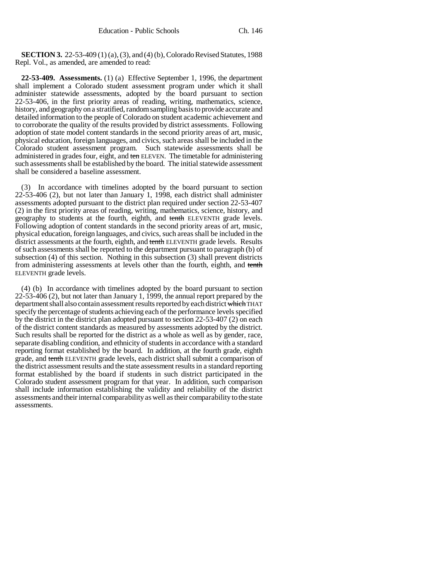**SECTION 3.** 22-53-409 (1) (a), (3), and (4) (b), Colorado Revised Statutes, 1988 Repl. Vol., as amended, are amended to read:

**22-53-409. Assessments.** (1) (a) Effective September 1, 1996, the department shall implement a Colorado student assessment program under which it shall administer statewide assessments, adopted by the board pursuant to section 22-53-406, in the first priority areas of reading, writing, mathematics, science, history, and geography on a stratified, random sampling basis to provide accurate and detailed information to the people of Colorado on student academic achievement and to corroborate the quality of the results provided by district assessments. Following adoption of state model content standards in the second priority areas of art, music, physical education, foreign languages, and civics, such areas shall be included in the Colorado student assessment program. Such statewide assessments shall be administered in grades four, eight, and ten ELEVEN. The timetable for administering such assessments shall be established by the board. The initial statewide assessment shall be considered a baseline assessment.

(3) In accordance with timelines adopted by the board pursuant to section 22-53-406 (2), but not later than January 1, 1998, each district shall administer assessments adopted pursuant to the district plan required under section 22-53-407 (2) in the first priority areas of reading, writing, mathematics, science, history, and geography to students at the fourth, eighth, and tenth ELEVENTH grade levels. Following adoption of content standards in the second priority areas of art, music, physical education, foreign languages, and civics, such areas shall be included in the district assessments at the fourth, eighth, and tenth ELEVENTH grade levels. Results of such assessments shall be reported to the department pursuant to paragraph (b) of subsection (4) of this section. Nothing in this subsection (3) shall prevent districts from administering assessments at levels other than the fourth, eighth, and tenth ELEVENTH grade levels.

(4) (b) In accordance with timelines adopted by the board pursuant to section 22-53-406 (2), but not later than January 1, 1999, the annual report prepared by the department shall also contain assessment results reported by each district which THAT specify the percentage of students achieving each of the performance levels specified by the district in the district plan adopted pursuant to section 22-53-407 (2) on each of the district content standards as measured by assessments adopted by the district. Such results shall be reported for the district as a whole as well as by gender, race, separate disabling condition, and ethnicity of students in accordance with a standard reporting format established by the board. In addition, at the fourth grade, eighth grade, and tenth ELEVENTH grade levels, each district shall submit a comparison of the district assessment results and the state assessment results in a standard reporting format established by the board if students in such district participated in the Colorado student assessment program for that year. In addition, such comparison shall include information establishing the validity and reliability of the district assessments and their internal comparability as well as their comparability to the state assessments.